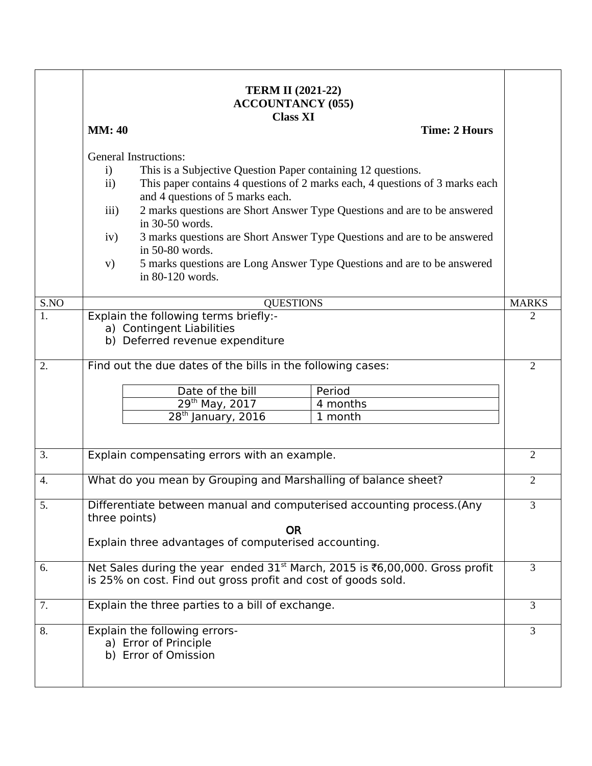|      | <b>TERM II (2021-22)</b><br><b>ACCOUNTANCY (055)</b><br><b>Class XI</b>                                                                                                                                                                                                                                                                                                                                                                                                                                                                                             |                                                                |                |
|------|---------------------------------------------------------------------------------------------------------------------------------------------------------------------------------------------------------------------------------------------------------------------------------------------------------------------------------------------------------------------------------------------------------------------------------------------------------------------------------------------------------------------------------------------------------------------|----------------------------------------------------------------|----------------|
|      | <b>MM</b> : 40                                                                                                                                                                                                                                                                                                                                                                                                                                                                                                                                                      | <b>Time: 2 Hours</b>                                           |                |
|      | <b>General Instructions:</b><br>$\mathbf{i}$<br>This is a Subjective Question Paper containing 12 questions.<br>This paper contains 4 questions of 2 marks each, 4 questions of 3 marks each<br>$\mathbf{ii}$<br>and 4 questions of 5 marks each.<br>2 marks questions are Short Answer Type Questions and are to be answered<br>iii)<br>in 30-50 words.<br>3 marks questions are Short Answer Type Questions and are to be answered<br>iv)<br>in 50-80 words.<br>5 marks questions are Long Answer Type Questions and are to be answered<br>V)<br>in 80-120 words. |                                                                |                |
| S.NO | <b>QUESTIONS</b>                                                                                                                                                                                                                                                                                                                                                                                                                                                                                                                                                    |                                                                | <b>MARKS</b>   |
| 1.   | Explain the following terms briefly:-<br>a) Contingent Liabilities<br>b) Deferred revenue expenditure                                                                                                                                                                                                                                                                                                                                                                                                                                                               |                                                                | 2              |
| 2.   | Find out the due dates of the bills in the following cases:<br>Date of the bill<br>Period<br>29th May, 2017<br>4 months<br>$28th$ January, 2016<br>1 month                                                                                                                                                                                                                                                                                                                                                                                                          |                                                                | $\overline{2}$ |
| 3.   | Explain compensating errors with an example.                                                                                                                                                                                                                                                                                                                                                                                                                                                                                                                        |                                                                |                |
| 4.   |                                                                                                                                                                                                                                                                                                                                                                                                                                                                                                                                                                     | What do you mean by Grouping and Marshalling of balance sheet? |                |
| 5.   | Differentiate between manual and computerised accounting process. (Any<br>three points)<br><b>OR</b><br>Explain three advantages of computerised accounting.                                                                                                                                                                                                                                                                                                                                                                                                        |                                                                | 3              |
| 6.   | Net Sales during the year ended $31st$ March, 2015 is ₹6,00,000. Gross profit<br>is 25% on cost. Find out gross profit and cost of goods sold.                                                                                                                                                                                                                                                                                                                                                                                                                      |                                                                | 3              |
| 7.   | Explain the three parties to a bill of exchange.                                                                                                                                                                                                                                                                                                                                                                                                                                                                                                                    |                                                                |                |
| 8.   | Explain the following errors-<br>a) Error of Principle<br>b) Error of Omission                                                                                                                                                                                                                                                                                                                                                                                                                                                                                      |                                                                | 3              |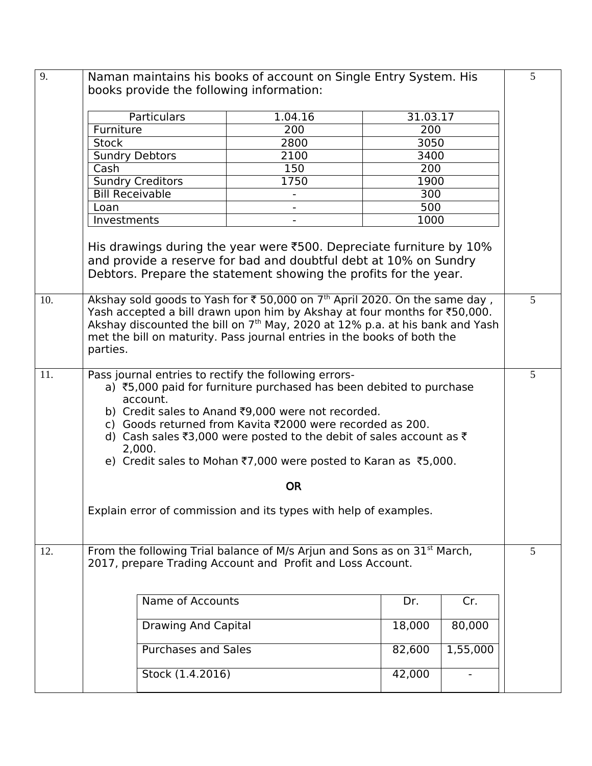| 9.  |                                                                                                                                                                                                                                                                                                                                                                                                                         | Naman maintains his books of account on Single Entry System. His<br>books provide the following information: |          |          | 5               |
|-----|-------------------------------------------------------------------------------------------------------------------------------------------------------------------------------------------------------------------------------------------------------------------------------------------------------------------------------------------------------------------------------------------------------------------------|--------------------------------------------------------------------------------------------------------------|----------|----------|-----------------|
|     | Particulars                                                                                                                                                                                                                                                                                                                                                                                                             | 1.04.16                                                                                                      | 31.03.17 |          |                 |
|     | Furniture                                                                                                                                                                                                                                                                                                                                                                                                               | 200                                                                                                          | 200      |          |                 |
|     | <b>Stock</b>                                                                                                                                                                                                                                                                                                                                                                                                            | 2800                                                                                                         | 3050     |          |                 |
|     | <b>Sundry Debtors</b>                                                                                                                                                                                                                                                                                                                                                                                                   | 2100                                                                                                         | 3400     |          |                 |
|     | Cash                                                                                                                                                                                                                                                                                                                                                                                                                    | 150                                                                                                          | 200      |          |                 |
|     | <b>Sundry Creditors</b>                                                                                                                                                                                                                                                                                                                                                                                                 | 1750                                                                                                         | 1900     |          |                 |
|     | <b>Bill Receivable</b>                                                                                                                                                                                                                                                                                                                                                                                                  |                                                                                                              | 300      |          |                 |
|     | Loan                                                                                                                                                                                                                                                                                                                                                                                                                    |                                                                                                              | 500      |          |                 |
|     | Investments                                                                                                                                                                                                                                                                                                                                                                                                             |                                                                                                              | 1000     |          |                 |
|     | His drawings during the year were $\text{\texttt{F500}}$ . Depreciate furniture by 10%<br>and provide a reserve for bad and doubtful debt at 10% on Sundry<br>Debtors. Prepare the statement showing the profits for the year.                                                                                                                                                                                          |                                                                                                              |          |          | $5\overline{)}$ |
| 10. | Akshay sold goods to Yash for ₹ 50,000 on 7 <sup>th</sup> April 2020. On the same day,<br>Yash accepted a bill drawn upon him by Akshay at four months for ₹50,000.<br>Akshay discounted the bill on 7 <sup>th</sup> May, 2020 at 12% p.a. at his bank and Yash<br>met the bill on maturity. Pass journal entries in the books of both the<br>parties.                                                                  |                                                                                                              |          |          |                 |
| 11. | Pass journal entries to rectify the following errors-<br>a) ₹5,000 paid for furniture purchased has been debited to purchase<br>account.<br>b) Credit sales to Anand ₹9,000 were not recorded.<br>c) Goods returned from Kavita ₹2000 were recorded as 200.<br>d) Cash sales ₹3,000 were posted to the debit of sales account as $\bar{z}$<br>2,000.<br>e) Credit sales to Mohan ₹7,000 were posted to Karan as ₹5,000. |                                                                                                              |          |          |                 |
|     | <b>OR</b>                                                                                                                                                                                                                                                                                                                                                                                                               |                                                                                                              |          |          |                 |
|     | Explain error of commission and its types with help of examples.                                                                                                                                                                                                                                                                                                                                                        |                                                                                                              |          |          |                 |
| 12. | From the following Trial balance of M/s Arjun and Sons as on 31 <sup>st</sup> March,<br>2017, prepare Trading Account and Profit and Loss Account.                                                                                                                                                                                                                                                                      |                                                                                                              |          |          | 5               |
|     | Name of Accounts                                                                                                                                                                                                                                                                                                                                                                                                        |                                                                                                              | Dr.      | Cr.      |                 |
|     | <b>Drawing And Capital</b>                                                                                                                                                                                                                                                                                                                                                                                              |                                                                                                              | 18,000   | 80,000   |                 |
|     | <b>Purchases and Sales</b>                                                                                                                                                                                                                                                                                                                                                                                              |                                                                                                              | 82,600   | 1,55,000 |                 |
|     | Stock (1.4.2016)                                                                                                                                                                                                                                                                                                                                                                                                        |                                                                                                              | 42,000   |          |                 |